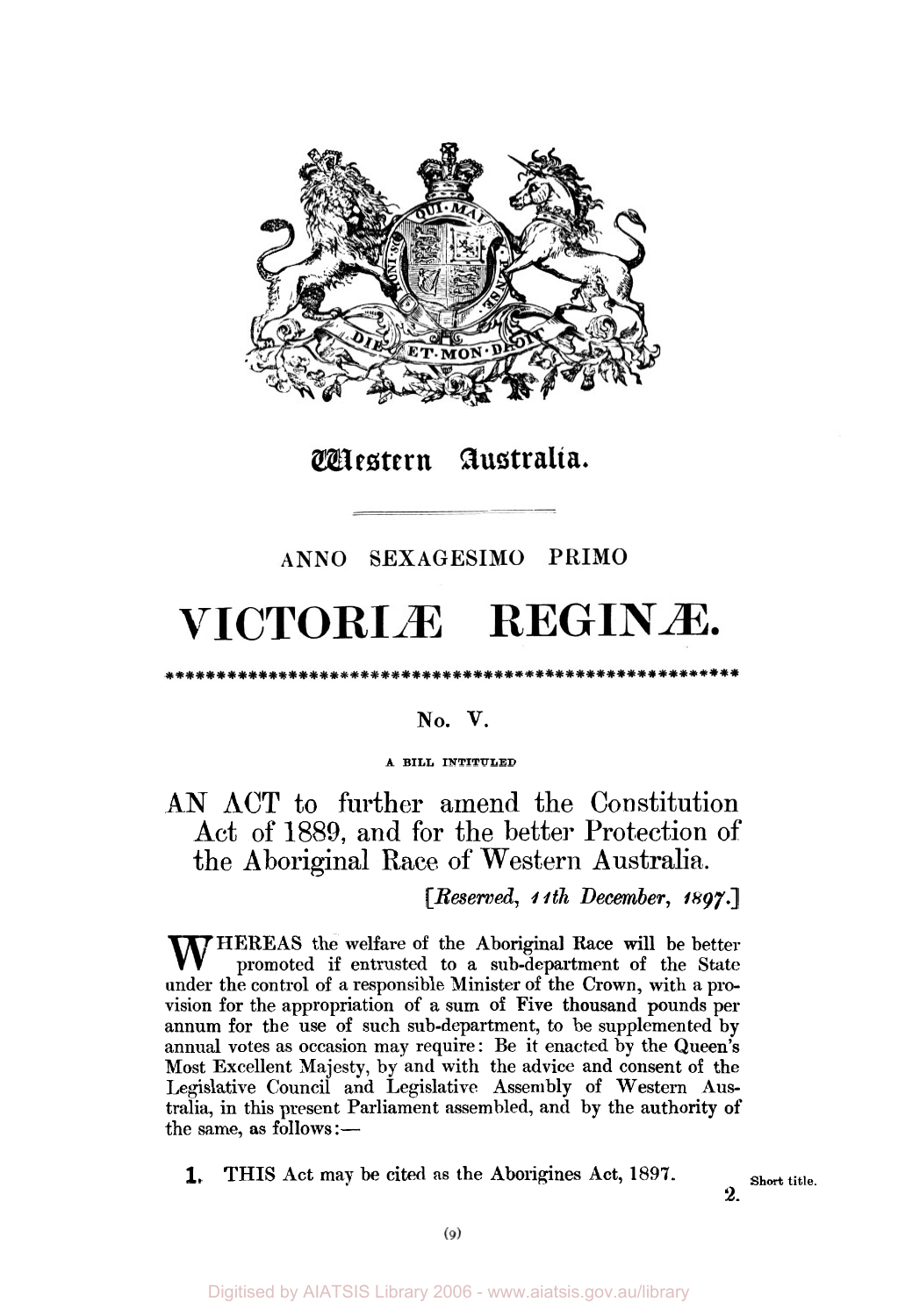

# Wiestern Australia.

### ANNO SEXAGESIMO PRIMO

# VICTORIÆ REGINÆ.

#### **No. V.**

\*\*\*\*\*\*\*\*\*\*\*\*\*\*\*\*\*\*\*\*\*\*\*\*\*\*\*\*\*\*\*\*

#### **A BILL INTITULED**

## **AN ACT** to further amend the Constitution Act of 1889, and for the better Protection of the Aboriginal Race of Western Australia.

#### *[Reserved, I 1th December, 1897.]*

**HEREAS** the welfare **of** the Aboriginal Race will **be** better promoted if entrusted to **a** sub-department **of** the State under the control of a responsible Minister of the Crown, with a **pro**vision for the appropriation **of** a sum **of** Five thousand pounds per annum for the use of such sub-department, to be supplemented by annual votes as occasion may require: Be it enacted by the Queen's Most Excellent Majesty, by and with the advice and consent of the Legislative Council and Legislative Assembly of Western Australia, in this present Parliament assembled, and by the authority **of**  the same, as follows:-

**1. THIS** Act may be cited as the Aborigines Act, 1897. Short title.

**2.**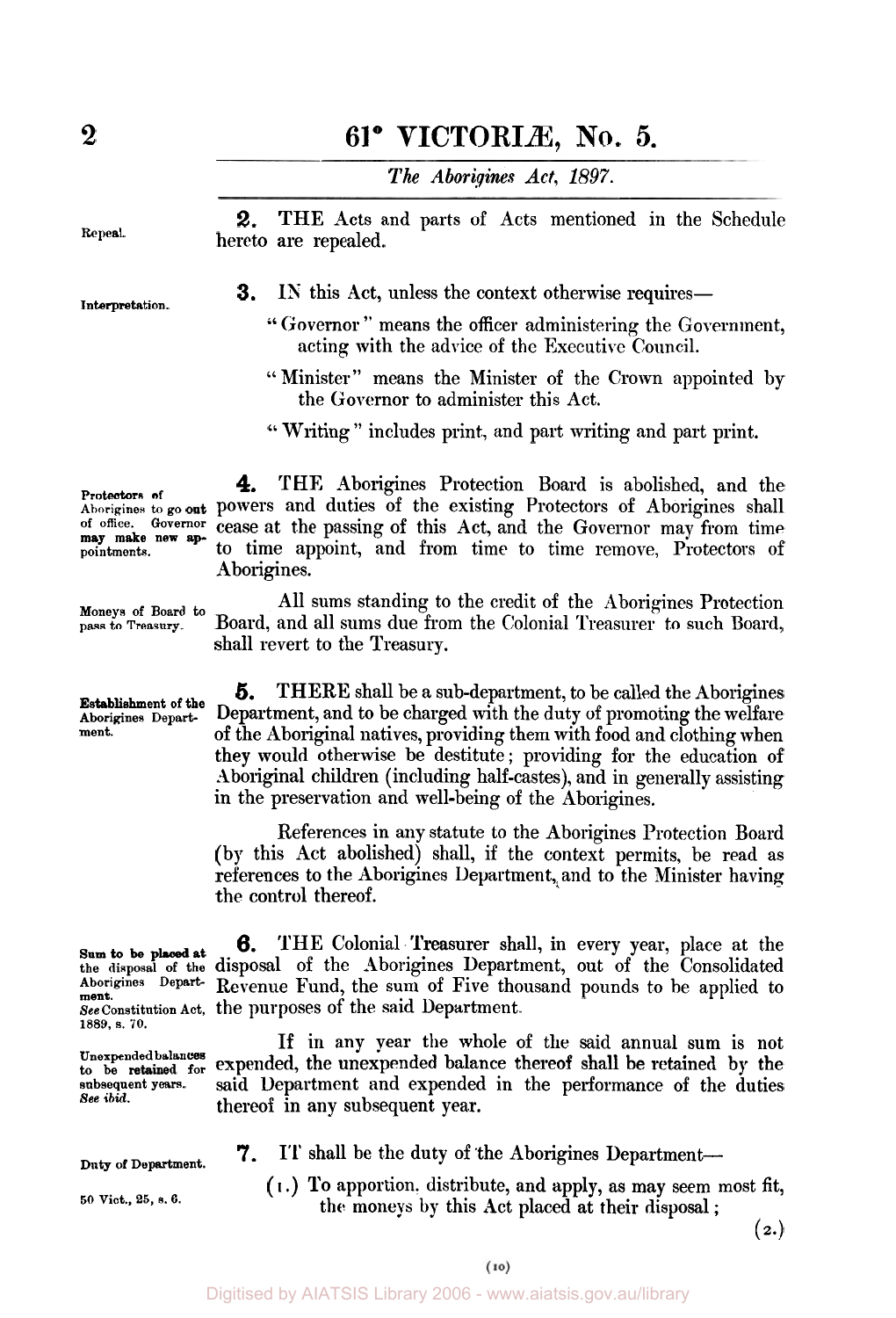# **2 61° VICTORIÆ, NO. 5.**

*The Aborigines Act, 1897.* 

**2.** THE Acts and parts of Acts mentioned in the Schedule hereto are repealed. **Repeal.** 

**3.** IN this Act, unless the context otherwise requires—

- Governor " means the officer administering the Government, acting with the advice of the Executive Council.
- '' Minister" means the Minister of the Crown appointed by the Governor to administer this Act.
- "Writing" includes print, and part writing and part print.

**Protectors of**  may make new ap-<br>pointments.

**4.** THE Aborigines Protection Board is abolished, and the Aborigines to go out powers and duties of the existing Protectors of Aborigines shall<br>of office. Governor cases at the passing of this Act and the Governor may from time cease at the passing of this Act, and the Governor may from time to time appoint, and from time to time remove, Protectors of Aborigines.

> All sums standing to the credit of the Aborigines Protection Board, and all sums due from the Colonial Treasurer to such Board, shall revert to the Treasury.

*5.* **THERE** shall be a sub-department, to be called the Aborigines **Aborigines Depart-** Department, and to be charged with the duty of promoting the welfare<br> **Aboriginal patives providing them with food and alathing when ment.** of the Aboriginal natives, providing them with food and clothing when they would otherwise be destitute; providing for the education of Aboriginal children (including half-castes), and in generally assisting in the preservation and well-being of the Aborigines.

> References in any statute to the Aborigines Protection Board (by this Act abolished) shall, if the context permits, be read as references to the Aborigines Department, and to the Minister having the control thereof.

**6. THE** Colonial Treasurer shall, in every year, place at the **the disposal of the** disposal of the Aborigines Department, out of the Consolidated **Aborigines Depart-** Revenue Fund, the sum of Five thousand pounds to be applied to **ment. See constitution Act,** the purposes of the said Department.

If in any year the whole of the said annual sum is not Unexpended balances expended, the unexpended balance thereof shall be retained by the said Department and expended in the performance of the duties thereof in any subsequent year.

**7.** IT shall be the duty of the Aborigines Department-

( **I** .) **To** apportion. distribute, and apply, as may seem most fit, the moneys by this Act placed at their disposal ;

 $(2.)$ 

**Interpretation.** 

**Moneys of Board to pass to Treasury.** 

**Establishment of the** 

1889, **s. 70. Sum to be placed at** 

**to be subsequent years. See** *ibid.* 

Duty of Department.

**50 Vict., 25,** *s.* **6.**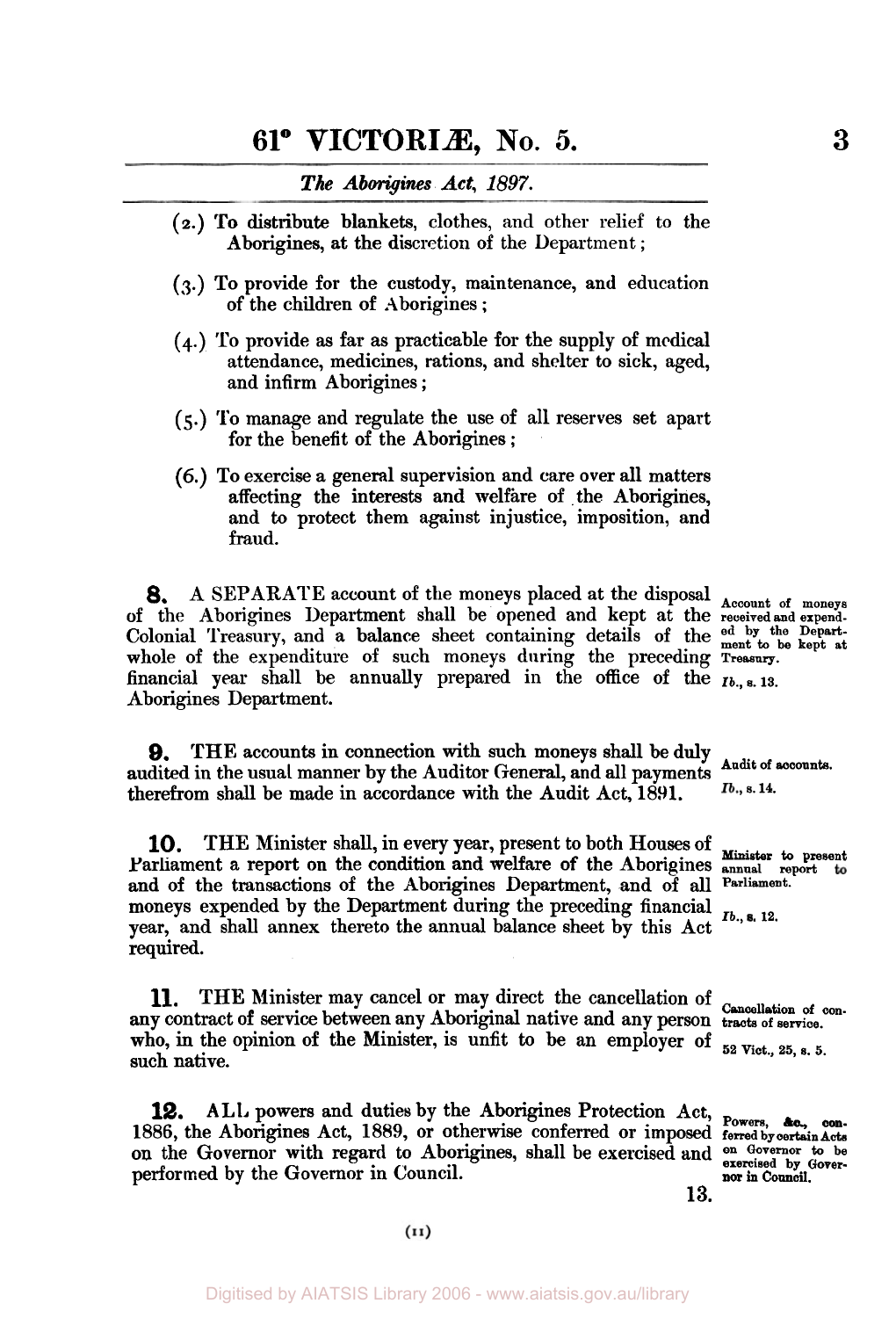#### *The Aborigines Act, 1897.*

- **(2.) To** distribute blankets, clothes, and other relief to the Aborigines, at the discretion of the Department ;
- **(3.)** To provide for the custody, maintenance, and education of the children of Aborigines;
- **(4.)** To provide **as** far as practicable for the supply of medical attendance, medicines, rations, and shelter to sick, aged, and infirm Aborigines ;
- *(5.)* To manage and regulate the use of all reserves set apart for the benefit of the Aborigines ;
- (6.) To exercise a general supervision and care over all matters affecting the interests and welfare of the Aborigines, and to protect them against injustice, imposition, and fraud.

*8.* A SEPARATE account of the moneys placed at the disposal **Account of moneys**  of the Aborigines Department shall be opened and kept at the **received and expend-**Colonial Treasury, and a balance sheet containing details of the **ed by the Depart- ment to be kept at**  whole of the expenditure of such moneys during the preceding Treasury. financial year shall be annually prepared in the office of the  $I_{b_n,s.}$  13. Aborigines Department.

**9.** THE accounts in connection with such moneys shall be duly and the secounts. audited in the usual manner by the Auditor General, and all payments therefrom shall be made in accordance with the Audit Act, **1891.** 

**10.** THE Minister shall, in every year, present to both Houses of **Minister to present**  Parliament a report on the condition and welfare of the Aborigines **annual** report and of the transactions of the Aborigines Department, and of **all Parliament.**  moneys expended by the Department during the preceding financial *Ib.*, **s.** 12. year, and shall annex thereto the annual balance sheet by this Act required.

11. **THE Minister may cancel or may direct the cancellation of con-**<br> **11. THE Minister may cancel or may direct the cancellation of con**any contract of service between any Aboriginal native and any person tracts of service. who, in the opinion of the Minister, is unfit to be an employer of  $_{52 \text{ Viot., } 25, \text{ s. } 5.}$ such native.

**12.** ALL powers and duties by the Aborigines Protection Act, Powers, &c., con-<br>1886, the Aborigines Act, 1889, or otherwise conferred or imposed ferred by certain Acts on the Governor with regard to Aborigines, shall be exercised and **on Governor to be exercised by Gover**performed by the Governor in Council. **nor in Council.** 

Ib., s. 14.

**13.**